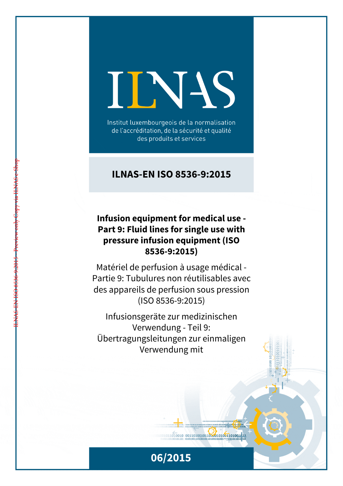# INS

Institut luxembourgeois de la normalisation de l'accréditation, de la sécurité et qualité des produits et services

## **ILNAS-EN ISO 8536-9:2015**

## **Infusion equipment for medical use - Part 9: Fluid lines for single use with pressure infusion equipment (ISO 8536-9:2015)**

ILNAS-EN ISO 8536-9:2015 - Preview only Copy via ILNAS e-Shop

Matériel de perfusion à usage médical - Partie 9: Tubulures non réutilisables avec des appareils de perfusion sous pression (ISO 8536-9:2015)

Infusionsgeräte zur medizinischen Verwendung - Teil 9: Übertragungsleitungen zur einmaligen Verwendung mit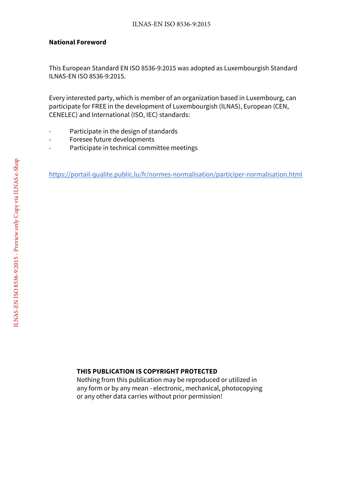#### **National Foreword**

This European Standard EN ISO 8536-9:2015 was adopted as Luxembourgish Standard ILNAS-EN ISO 8536-9:2015.

Every interested party, which is member of an organization based in Luxembourg, can participate for FREE in the development of Luxembourgish (ILNAS), European (CEN, CENELEC) and International (ISO, IEC) standards:

- Participate in the design of standards
- Foresee future developments
- Participate in technical committee meetings

https://portail-qualite.public.lu/fr/normes-normalisation/participer-normalisation.html

#### **THIS PUBLICATION IS COPYRIGHT PROTECTED**

Nothing from this publication may be reproduced or utilized in any form or by any mean - electronic, mechanical, photocopying or any other data carries without prior permission!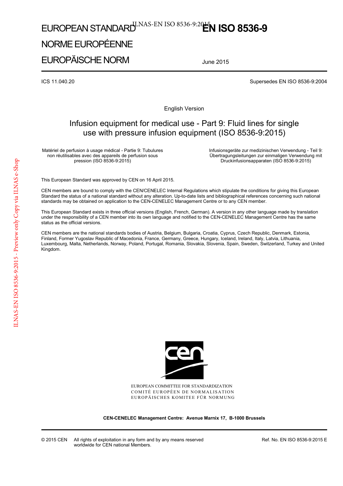# EUROPEAN STANDARD<sup>U.NAS-EN ISO 8536-9:20**EN ISO 8536-9**</sup>

## NORME EUROPÉENNE

EUROPÄISCHE NORM

June 2015

ICS 11.040.20 Supersedes EN ISO 8536-9:2004

English Version

### Infusion equipment for medical use - Part 9: Fluid lines for single use with pressure infusion equipment (ISO 8536-9:2015)

Matériel de perfusion à usage médical - Partie 9: Tubulures non réutilisables avec des appareils de perfusion sous pression (ISO 8536-9:2015)

Infusionsgeräte zur medizinischen Verwendung - Teil 9: Übertragungsleitungen zur einmaligen Verwendung mit Druckinfusionsapparaten (ISO 8536-9:2015)

This European Standard was approved by CEN on 16 April 2015.

CEN members are bound to comply with the CEN/CENELEC Internal Regulations which stipulate the conditions for giving this European Standard the status of a national standard without any alteration. Up-to-date lists and bibliographical references concerning such national standards may be obtained on application to the CEN-CENELEC Management Centre or to any CEN member.

This European Standard exists in three official versions (English, French, German). A version in any other language made by translation under the responsibility of a CEN member into its own language and notified to the CEN-CENELEC Management Centre has the same status as the official versions.

CEN members are the national standards bodies of Austria, Belgium, Bulgaria, Croatia, Cyprus, Czech Republic, Denmark, Estonia, Finland, Former Yugoslav Republic of Macedonia, France, Germany, Greece, Hungary, Iceland, Ireland, Italy, Latvia, Lithuania, Luxembourg, Malta, Netherlands, Norway, Poland, Portugal, Romania, Slovakia, Slovenia, Spain, Sweden, Switzerland, Turkey and United Kingdom.



EUROPEAN COMMITTEE FOR STANDARDIZATION COMITÉ EUROPÉEN DE NORMALISATION EUROPÄISCHES KOMITEE FÜR NORMUNG

**CEN-CENELEC Management Centre: Avenue Marnix 17, B-1000 Brussels** 

Ref. No. EN ISO 8536-9:2015 E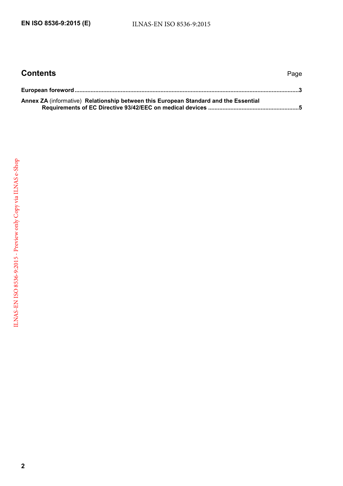| <b>Contents</b>                                                                      | Page |
|--------------------------------------------------------------------------------------|------|
|                                                                                      |      |
| Annex ZA (informative) Relationship between this European Standard and the Essential |      |
|                                                                                      |      |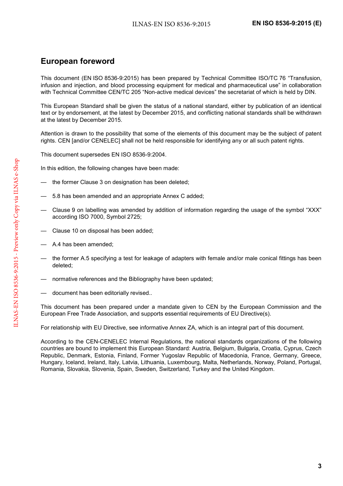## <span id="page-4-0"></span>**European foreword**

This document (EN ISO 8536-9:2015) has been prepared by Technical Committee ISO/TC 76 "Transfusion, infusion and injection, and blood processing equipment for medical and pharmaceutical use" in collaboration with Technical Committee CEN/TC 205 "Non-active medical devices" the secretariat of which is held by DIN.

This European Standard shall be given the status of a national standard, either by publication of an identical text or by endorsement, at the latest by December 2015, and conflicting national standards shall be withdrawn at the latest by December 2015.

Attention is drawn to the possibility that some of the elements of this document may be the subject of patent rights. CEN [and/or CENELEC] shall not be held responsible for identifying any or all such patent rights.

This document supersedes EN ISO 8536-9:2004.

In this edition, the following changes have been made:

- the former Clause 3 on designation has been deleted;
- 5.8 has been amended and an appropriate Annex C added;
- Clause 9 on labelling was amended by addition of information regarding the usage of the symbol "XXX" according ISO 7000, Symbol 2725;
- Clause 10 on disposal has been added;
- A.4 has been amended;
- the former A.5 specifying a test for leakage of adapters with female and/or male conical fittings has been deleted;
- normative references and the Bibliography have been updated;
- document has been editorially revised..

This document has been prepared under a mandate given to CEN by the European Commission and the European Free Trade Association, and supports essential requirements of EU Directive(s).

For relationship with EU Directive, see informative Annex ZA, which is an integral part of this document.

According to the CEN-CENELEC Internal Regulations, the national standards organizations of the following countries are bound to implement this European Standard: Austria, Belgium, Bulgaria, Croatia, Cyprus, Czech Republic, Denmark, Estonia, Finland, Former Yugoslav Republic of Macedonia, France, Germany, Greece, Hungary, Iceland, Ireland, Italy, Latvia, Lithuania, Luxembourg, Malta, Netherlands, Norway, Poland, Portugal, Romania, Slovakia, Slovenia, Spain, Sweden, Switzerland, Turkey and the United Kingdom.